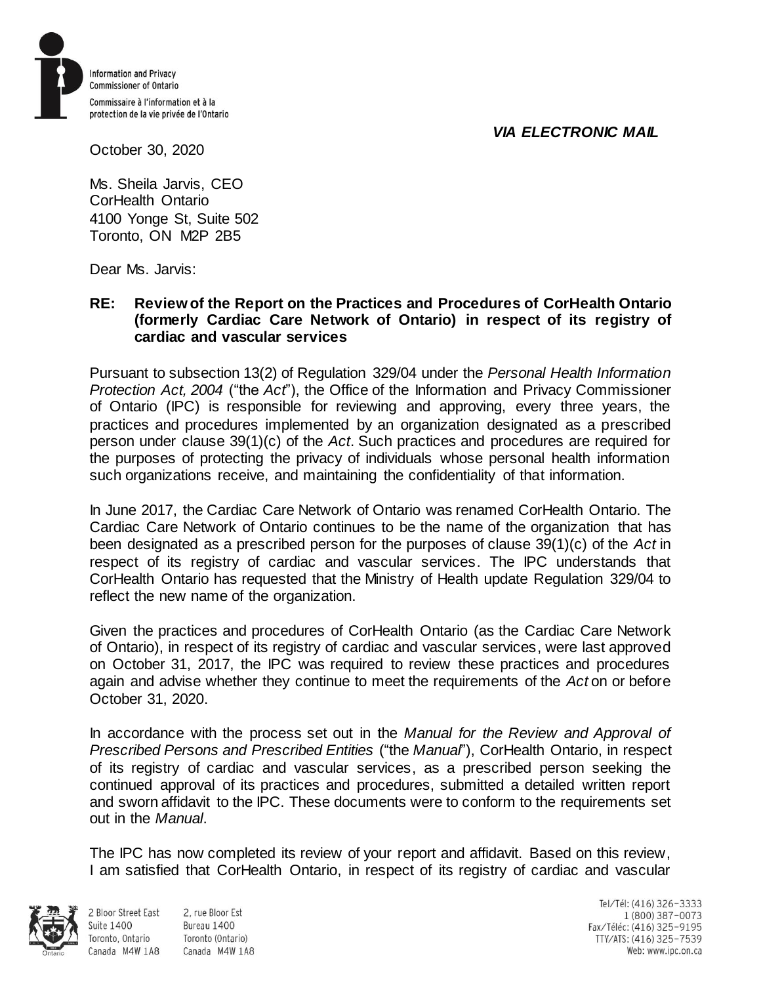## *VIA ELECTRONIC MAIL*



October 30, 2020

Ms. Sheila Jarvis, CEO CorHealth Ontario 4100 Yonge St, Suite 502 Toronto, ON M2P 2B5

Dear Ms. Jarvis:

## **RE: Review of the Report on the Practices and Procedures of CorHealth Ontario (formerly Cardiac Care Network of Ontario) in respect of its registry of cardiac and vascular services**

Pursuant to subsection 13(2) of Regulation 329/04 under the *Personal Health Information Protection Act, 2004* ("the *Act*"), the Office of the Information and Privacy Commissioner of Ontario (IPC) is responsible for reviewing and approving, every three years, the practices and procedures implemented by an organization designated as a prescribed person under clause 39(1)(c) of the *Act*. Such practices and procedures are required for the purposes of protecting the privacy of individuals whose personal health information such organizations receive, and maintaining the confidentiality of that information.

In June 2017, the Cardiac Care Network of Ontario was renamed CorHealth Ontario. The Cardiac Care Network of Ontario continues to be the name of the organization that has been designated as a prescribed person for the purposes of clause 39(1)(c) of the *Act* in respect of its registry of cardiac and vascular services. The IPC understands that CorHealth Ontario has requested that the Ministry of Health update Regulation 329/04 to reflect the new name of the organization.

Given the practices and procedures of CorHealth Ontario (as the Cardiac Care Network of Ontario), in respect of its registry of cardiac and vascular services, were last approved on October 31, 2017, the IPC was required to review these practices and procedures again and advise whether they continue to meet the requirements of the *Act* on or before October 31, 2020.

In accordance with the process set out in the *Manual for the Review and Approval of Prescribed Persons and Prescribed Entities* ("the *Manual*"), CorHealth Ontario, in respect of its registry of cardiac and vascular services, as a prescribed person seeking the continued approval of its practices and procedures, submitted a detailed written report and sworn affidavit to the IPC. These documents were to conform to the requirements set out in the *Manual*.

The IPC has now completed its review of your report and affidavit. Based on this review, I am satisfied that CorHealth Ontario, in respect of its registry of cardiac and vascular



**Suite 1400** 

Toronto, Ontario

2 Bloor Street East 2. rue Bloor Est Bureau 1400 Toronto (Ontario) Canada M4W 1A8 Canada M4W 1A8

Tel/Tél: (416) 326-3333 1 (800) 387-0073 Fax/Téléc: (416) 325-9195 TTY/ATS: (416) 325-7539 Web: www.ipc.on.ca